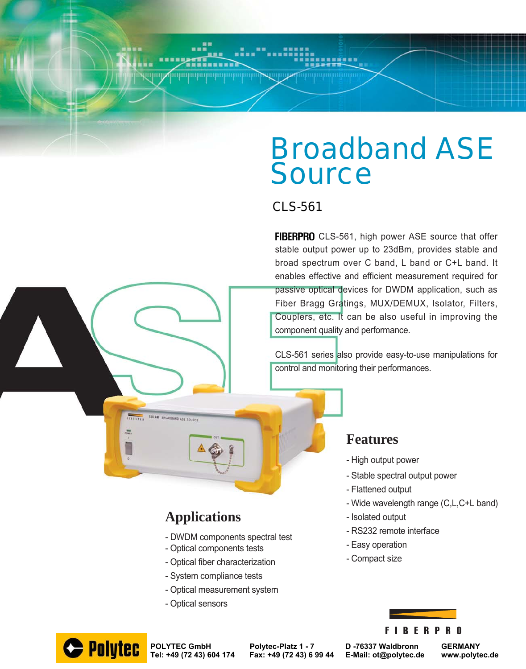# Broadband ASE **Source**

## CLS-561

FIBERPRO CLS-561, high power ASE source that offer stable output power up to 23dBm, provides stable and broad spectrum over C band, L band or C+L band. It enables effective and efficient measurement required for passive optical devices for DWDM application, such as Fiber Bragg Gratings, MUX/DEMUX, Isolator, Filters, Couplers, etc. It can be also useful in improving the component quality and performance.

CLS-561 series also provide easy-to-use manipulations for control and monitoring their performances.

### - Flattened output

- High output power

**Features**

- Wide wavelength range (C,L,C+L band)
- Isolated output
- RS232 remote interface

- Stable spectral output power

- Easy operation
- Compact size

### **FIBERPRO**

# **Applications**

011-581

**TITLE** 

BROADBAND ASE SOURC

- DWDM components spectral test
- Optical components tests
- Optical fiber characterization
- System compliance tests
- Optical measurement system
- Optical sensors



**POLYTEC GmbH Polytec-Platz 1 - 7 D -76337 Waldbronn GERMANY**

**Tel: +49 (72 43) 604 174 Fax: +49 (72 43) 6 99 44 E-Mail: ot@polytec.de www.polytec.de**